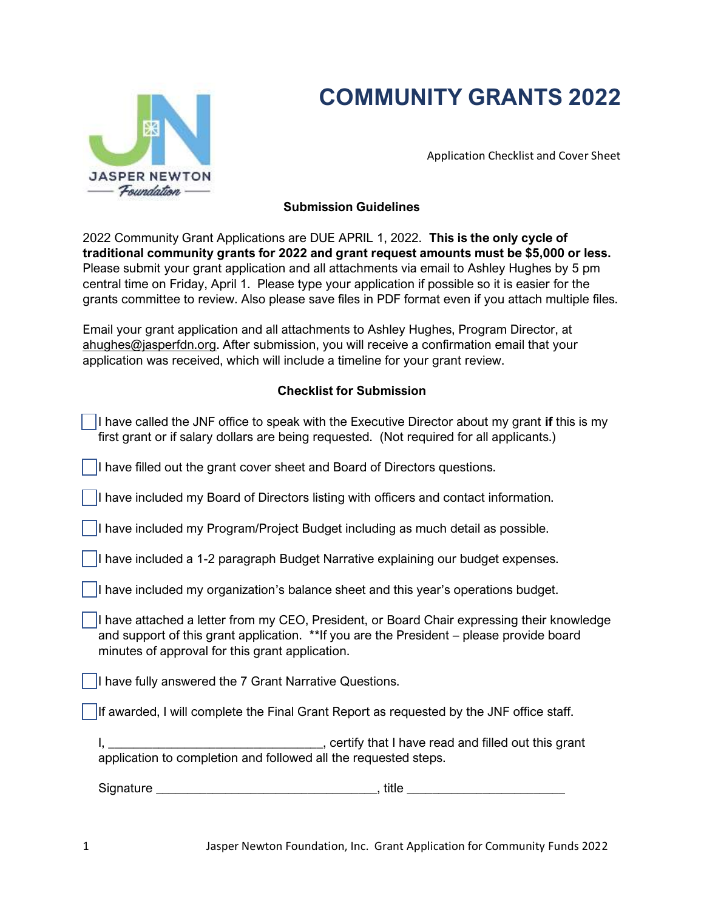# **COMMUNITY GRANTS 2022**



Application Checklist and Cover Sheet

### **Submission Guidelines**

2022 Community Grant Applications are DUE APRIL 1, 2022. **This is the only cycle of traditional community grants for 2022 and grant request amounts must be \$5,000 or less.** Please submit your grant application and all attachments via email to Ashley Hughes by 5 pm central time on Friday, April 1. Please type your application if possible so it is easier for the grants committee to review. Also please save files in PDF format even if you attach multiple files.

Email your grant application and all attachments to Ashley Hughes, Program Director, at [ahughes@jasperfdn.org.](mailto:ahughes@jasperfdn.org) After submission, you will receive a confirmation email that your application was received, which will include a timeline for your grant review.

# **Checklist for Submission**

| I have called the JNF office to speak with the Executive Director about my grant if this is my<br>first grant or if salary dollars are being requested. (Not required for all applicants.)                                                 |  |  |
|--------------------------------------------------------------------------------------------------------------------------------------------------------------------------------------------------------------------------------------------|--|--|
| I have filled out the grant cover sheet and Board of Directors questions.                                                                                                                                                                  |  |  |
| I have included my Board of Directors listing with officers and contact information.                                                                                                                                                       |  |  |
| I have included my Program/Project Budget including as much detail as possible.                                                                                                                                                            |  |  |
| I have included a 1-2 paragraph Budget Narrative explaining our budget expenses.                                                                                                                                                           |  |  |
| I have included my organization's balance sheet and this year's operations budget.                                                                                                                                                         |  |  |
| I have attached a letter from my CEO, President, or Board Chair expressing their knowledge<br>and support of this grant application. ** If you are the President – please provide board<br>minutes of approval for this grant application. |  |  |
| I have fully answered the 7 Grant Narrative Questions.                                                                                                                                                                                     |  |  |
| If awarded, I will complete the Final Grant Report as requested by the JNF office staff.                                                                                                                                                   |  |  |
| application to completion and followed all the requested steps.                                                                                                                                                                            |  |  |
|                                                                                                                                                                                                                                            |  |  |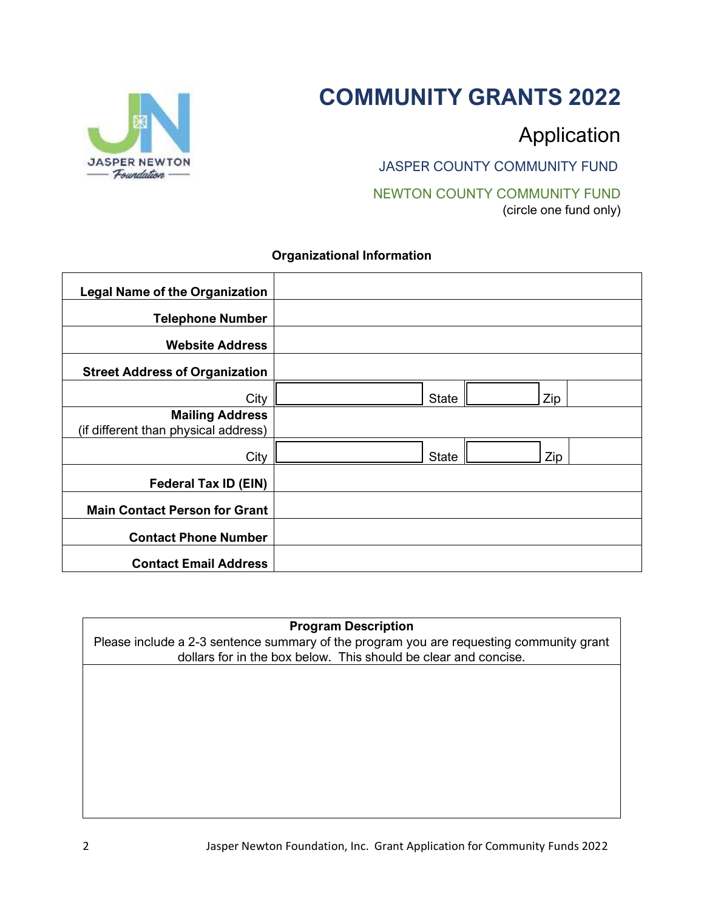# **COMMUNITY GRANTS 2022**



# Application

JASPER COUNTY COMMUNITY FUND

NEWTON COUNTY COMMUNITY FUND (circle one fund only)

## **Organizational Information**

| <b>Legal Name of the Organization</b>                          |              |     |
|----------------------------------------------------------------|--------------|-----|
| <b>Telephone Number</b>                                        |              |     |
| <b>Website Address</b>                                         |              |     |
| <b>Street Address of Organization</b>                          |              |     |
| City                                                           | <b>State</b> | Zip |
| <b>Mailing Address</b><br>(if different than physical address) |              |     |
| City                                                           | <b>State</b> | Zip |
| <b>Federal Tax ID (EIN)</b>                                    |              |     |
| <b>Main Contact Person for Grant</b>                           |              |     |
| <b>Contact Phone Number</b>                                    |              |     |
| <b>Contact Email Address</b>                                   |              |     |

## **Program Description**

Please include a 2-3 sentence summary of the program you are requesting community grant dollars for in the box below. This should be clear and concise.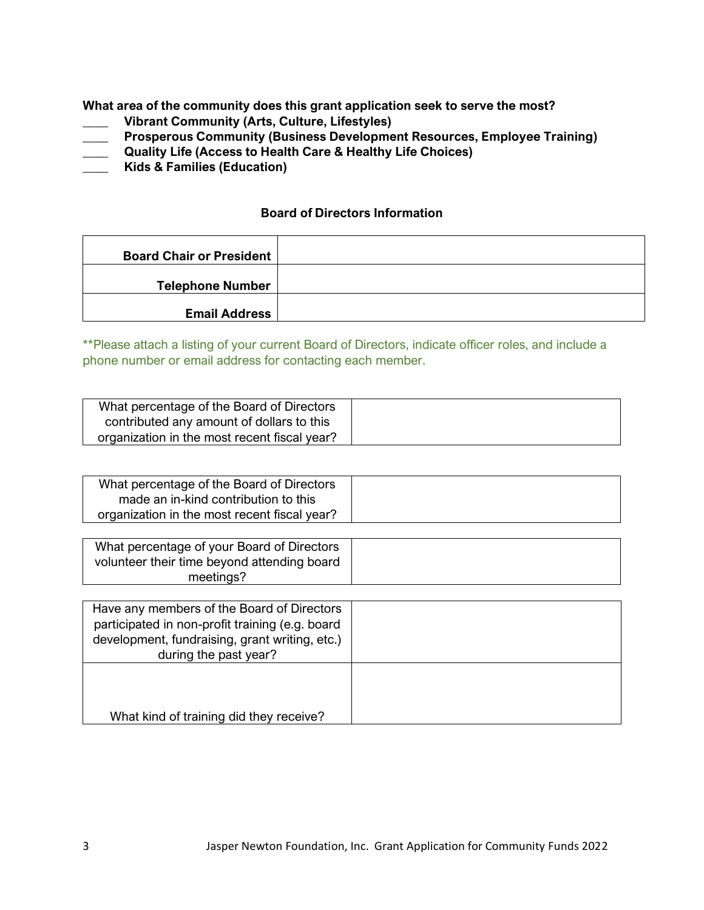**What area of the community does this grant application seek to serve the most?**

- **\_\_\_\_ Vibrant Community (Arts, Culture, Lifestyles)**
- **\_\_\_\_ Prosperous Community (Business Development Resources, Employee Training)**
- **\_\_\_\_ Quality Life (Access to Health Care & Healthy Life Choices)**
- **\_\_\_\_ Kids & Families (Education)**

#### **Board of Directors Information**

| <b>Board Chair or President</b> |  |
|---------------------------------|--|
| <b>Telephone Number</b>         |  |
| <b>Email Address</b>            |  |

\*\*Please attach a listing of your current Board of Directors, indicate officer roles, and include a phone number or email address for contacting each member.

| What percentage of the Board of Directors    |  |
|----------------------------------------------|--|
| contributed any amount of dollars to this    |  |
| organization in the most recent fiscal year? |  |

| What percentage of the Board of Directors    |  |
|----------------------------------------------|--|
| made an in-kind contribution to this         |  |
| organization in the most recent fiscal year? |  |

| What percentage of your Board of Directors  |  |
|---------------------------------------------|--|
| volunteer their time beyond attending board |  |
| meetings?                                   |  |

| Have any members of the Board of Directors<br>participated in non-profit training (e.g. board<br>development, fundraising, grant writing, etc.)<br>during the past year? |  |
|--------------------------------------------------------------------------------------------------------------------------------------------------------------------------|--|
| What kind of training did they receive?                                                                                                                                  |  |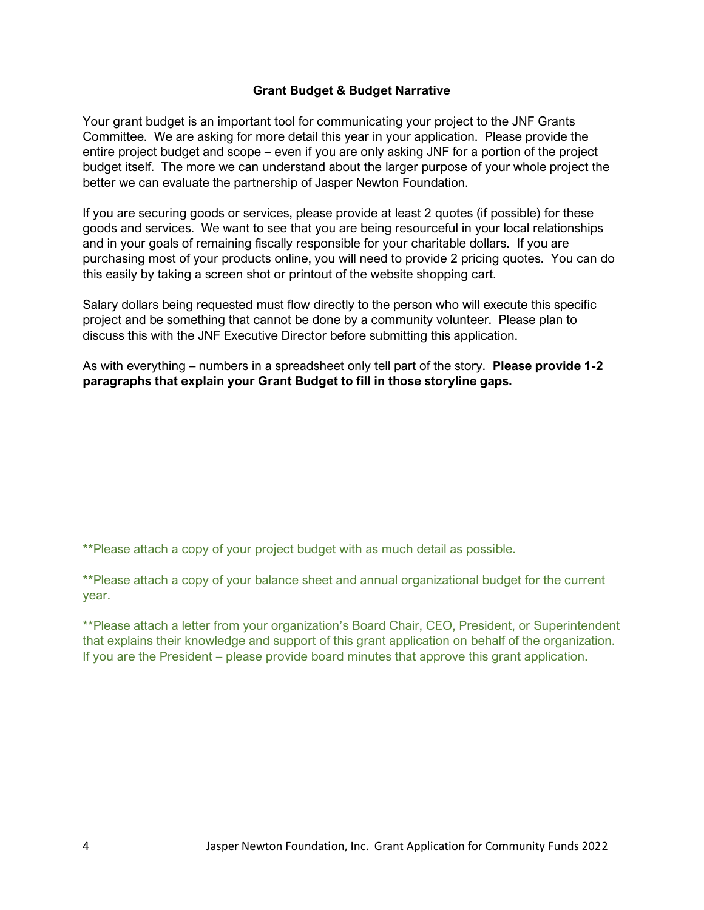#### **Grant Budget & Budget Narrative**

Your grant budget is an important tool for communicating your project to the JNF Grants Committee. We are asking for more detail this year in your application. Please provide the entire project budget and scope – even if you are only asking JNF for a portion of the project budget itself. The more we can understand about the larger purpose of your whole project the better we can evaluate the partnership of Jasper Newton Foundation.

If you are securing goods or services, please provide at least 2 quotes (if possible) for these goods and services. We want to see that you are being resourceful in your local relationships and in your goals of remaining fiscally responsible for your charitable dollars. If you are purchasing most of your products online, you will need to provide 2 pricing quotes. You can do this easily by taking a screen shot or printout of the website shopping cart.

Salary dollars being requested must flow directly to the person who will execute this specific project and be something that cannot be done by a community volunteer. Please plan to discuss this with the JNF Executive Director before submitting this application.

As with everything – numbers in a spreadsheet only tell part of the story. **Please provide 1-2 paragraphs that explain your Grant Budget to fill in those storyline gaps.** 

\*\*Please attach a copy of your project budget with as much detail as possible.

\*\*Please attach a copy of your balance sheet and annual organizational budget for the current year.

\*\*Please attach a letter from your organization's Board Chair, CEO, President, or Superintendent that explains their knowledge and support of this grant application on behalf of the organization. If you are the President – please provide board minutes that approve this grant application.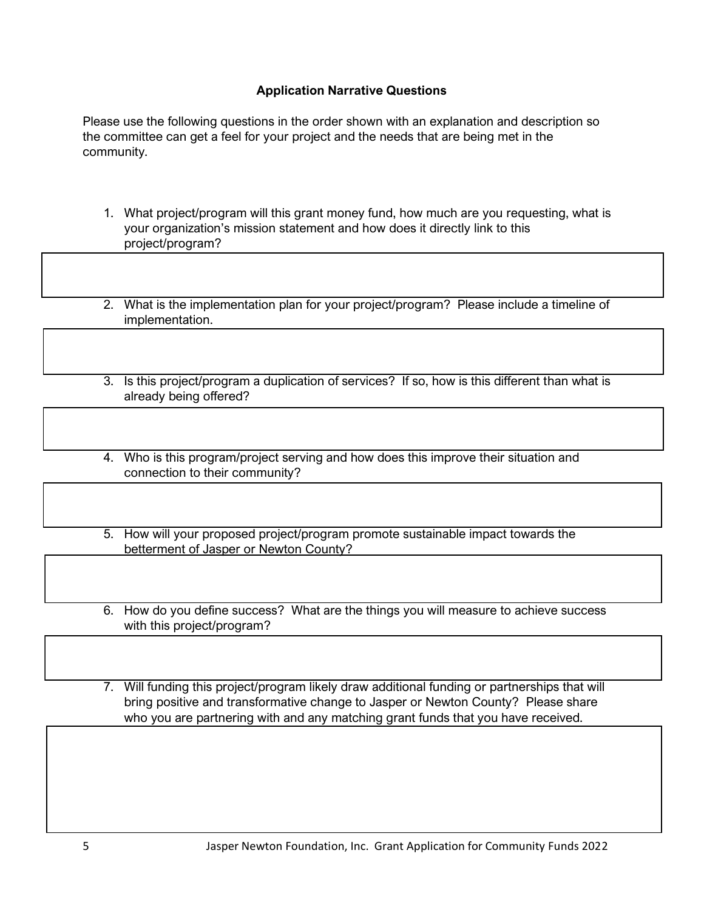#### **Application Narrative Questions**

Please use the following questions in the order shown with an explanation and description so the committee can get a feel for your project and the needs that are being met in the community.

- 1. What project/program will this grant money fund, how much are you requesting, what is your organization's mission statement and how does it directly link to this project/program?
- 2. What is the implementation plan for your project/program? Please include a timeline of implementation.
- 3. Is this project/program a duplication of services? If so, how is this different than what is already being offered?
- 4. Who is this program/project serving and how does this improve their situation and connection to their community?
- 5. How will your proposed project/program promote sustainable impact towards the betterment of Jasper or Newton County?
- 6. How do you define success? What are the things you will measure to achieve success with this project/program?
- 7. Will funding this project/program likely draw additional funding or partnerships that will bring positive and transformative change to Jasper or Newton County? Please share who you are partnering with and any matching grant funds that you have received.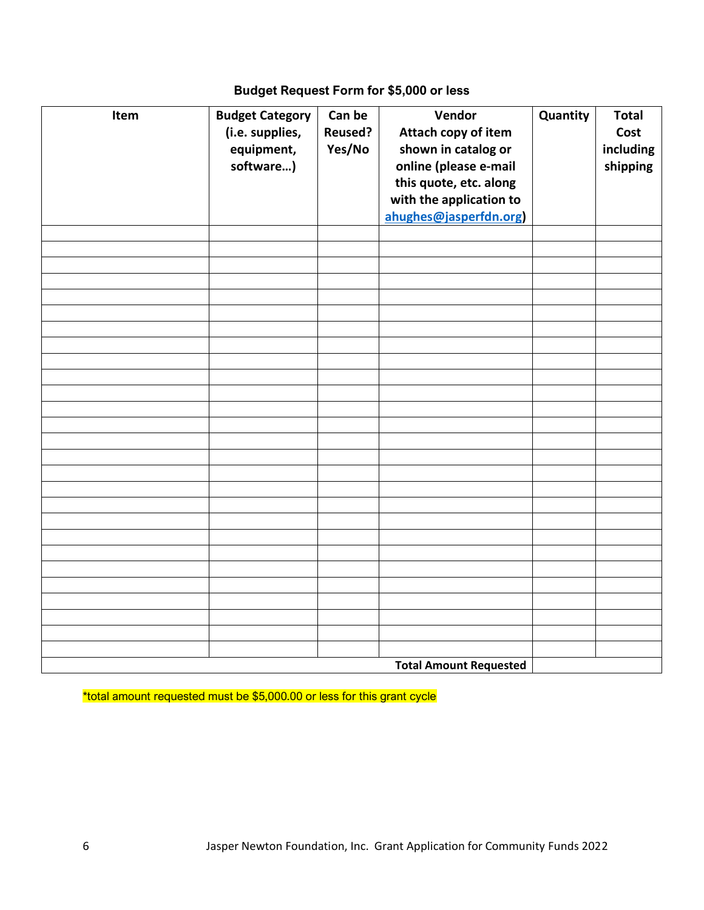# **Budget Request Form for \$5,000 or less**

| Item | <b>Budget Category</b><br>(i.e. supplies,<br>equipment,<br>software) | Can be<br><b>Reused?</b><br>Yes/No | Vendor<br>Attach copy of item<br>shown in catalog or<br>online (please e-mail<br>this quote, etc. along<br>with the application to<br>ahughes@jasperfdn.org) | Quantity | <b>Total</b><br>Cost<br>including<br>shipping |
|------|----------------------------------------------------------------------|------------------------------------|--------------------------------------------------------------------------------------------------------------------------------------------------------------|----------|-----------------------------------------------|
|      |                                                                      |                                    |                                                                                                                                                              |          |                                               |
|      |                                                                      |                                    |                                                                                                                                                              |          |                                               |
|      |                                                                      |                                    |                                                                                                                                                              |          |                                               |
|      |                                                                      |                                    |                                                                                                                                                              |          |                                               |
|      |                                                                      |                                    |                                                                                                                                                              |          |                                               |
|      |                                                                      |                                    |                                                                                                                                                              |          |                                               |
|      |                                                                      |                                    |                                                                                                                                                              |          |                                               |
|      |                                                                      |                                    |                                                                                                                                                              |          |                                               |
|      |                                                                      |                                    |                                                                                                                                                              |          |                                               |
|      |                                                                      |                                    |                                                                                                                                                              |          |                                               |
|      |                                                                      |                                    |                                                                                                                                                              |          |                                               |
|      |                                                                      |                                    |                                                                                                                                                              |          |                                               |
|      |                                                                      |                                    |                                                                                                                                                              |          |                                               |
|      |                                                                      |                                    |                                                                                                                                                              |          |                                               |
|      |                                                                      |                                    |                                                                                                                                                              |          |                                               |
|      |                                                                      |                                    |                                                                                                                                                              |          |                                               |
|      |                                                                      |                                    |                                                                                                                                                              |          |                                               |
|      |                                                                      |                                    |                                                                                                                                                              |          |                                               |
|      |                                                                      |                                    |                                                                                                                                                              |          |                                               |
|      |                                                                      |                                    |                                                                                                                                                              |          |                                               |
|      |                                                                      |                                    |                                                                                                                                                              |          |                                               |
|      |                                                                      |                                    |                                                                                                                                                              |          |                                               |
|      |                                                                      |                                    |                                                                                                                                                              |          |                                               |
|      |                                                                      |                                    |                                                                                                                                                              |          |                                               |
|      |                                                                      |                                    |                                                                                                                                                              |          |                                               |
|      |                                                                      |                                    | <b>Total Amount Requested</b>                                                                                                                                |          |                                               |

\*total amount requested must be \$5,000.00 or less for this grant cycle